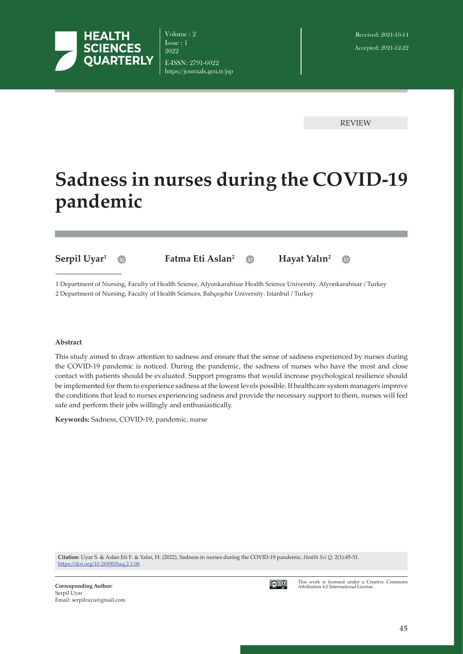

Volume : 2 Issue : 1 2022 E-ISSN: 2791-6022 https://journals.gen.tr/jsp

REVIEW

 $\bullet$ 

# **Sadness in nurses during the COVID-19 pandemic**



1 Department of Nursing, Faculty of Health Science, Afyonkarahisar Health Science University. Afyonkarahisar / Turkey 2 Department of Nursing, Faculty of Health Sciences, Bahçeşehir University. Istanbul / Turkey

#### **Abstract**

This study aimed to draw attention to sadness and ensure that the sense of sadness experienced by nurses during the COVID-19 pandemic is noticed. During the pandemic, the sadness of nurses who have the most and close contact with patients should be evaluated. Support programs that would increase psychological resilience should be implemented for them to experience sadness at the lowest levels possible. If healthcare system managers improve the conditions that lead to nurses experiencing sadness and provide the necessary support to them, nurses will feel safe and perform their jobs willingly and enthusiastically.

**Keywords:** Sadness, COVID-19, pandemic, nurse

**Citation**: Uyar S. & Aslan Eti F. & Yalın, H. (2022). Sadness in nurses during the COVID-19 pandemic. *Health Sci Q.* 2(1):45-51. <https://doi.org/>10.26900/hsq.2.1.06



This work is licensed under a Creative Commons Attribution 4.0 International License.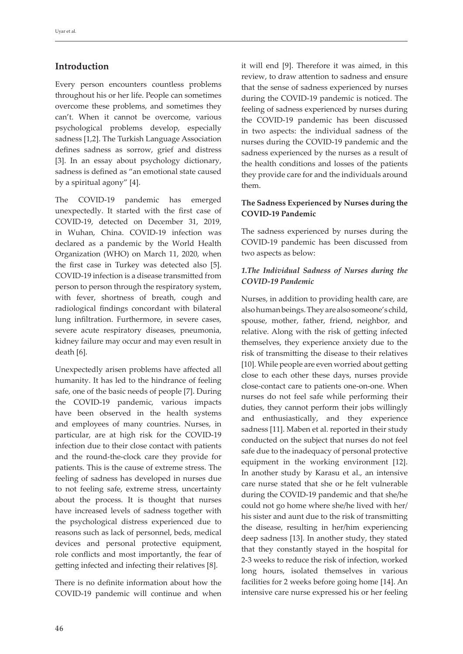## **Introduction**

Every person encounters countless problems throughout his or her life. People can sometimes overcome these problems, and sometimes they can't. When it cannot be overcome, various psychological problems develop, especially sadness [1,2]. The Turkish Language Association defines sadness as sorrow, grief and distress [3]. In an essay about psychology dictionary, sadness is defined as "an emotional state caused by a spiritual agony" [4].

The COVID-19 pandemic has emerged unexpectedly. It started with the first case of COVID-19, detected on December 31, 2019, in Wuhan, China. COVID-19 infection was declared as a pandemic by the World Health Organization (WHO) on March 11, 2020, when the first case in Turkey was detected also [5]. COVID-19 infection is a disease transmitted from person to person through the respiratory system, with fever, shortness of breath, cough and radiological findings concordant with bilateral lung infiltration. Furthermore, in severe cases, severe acute respiratory diseases, pneumonia, kidney failure may occur and may even result in death [6].

Unexpectedly arisen problems have affected all humanity. It has led to the hindrance of feeling safe, one of the basic needs of people [7]. During the COVID-19 pandemic, various impacts have been observed in the health systems and employees of many countries. Nurses, in particular, are at high risk for the COVID-19 infection due to their close contact with patients and the round-the-clock care they provide for patients. This is the cause of extreme stress. The feeling of sadness has developed in nurses due to not feeling safe, extreme stress, uncertainty about the process. It is thought that nurses have increased levels of sadness together with the psychological distress experienced due to reasons such as lack of personnel, beds, medical devices and personal protective equipment, role conflicts and most importantly, the fear of getting infected and infecting their relatives [8].

There is no definite information about how the COVID-19 pandemic will continue and when it will end [9]. Therefore it was aimed, in this review, to draw attention to sadness and ensure that the sense of sadness experienced by nurses during the COVID-19 pandemic is noticed. The feeling of sadness experienced by nurses during the COVID-19 pandemic has been discussed in two aspects: the individual sadness of the nurses during the COVID-19 pandemic and the sadness experienced by the nurses as a result of the health conditions and losses of the patients they provide care for and the individuals around them.

### **The Sadness Experienced by Nurses during the COVID-19 Pandemic**

The sadness experienced by nurses during the COVID-19 pandemic has been discussed from two aspects as below:

#### *1.The Individual Sadness of Nurses during the COVID-19 Pandemic*

Nurses, in addition to providing health care, are also human beings. They are also someone's child, spouse, mother, father, friend, neighbor, and relative. Along with the risk of getting infected themselves, they experience anxiety due to the risk of transmitting the disease to their relatives [10]. While people are even worried about getting close to each other these days, nurses provide close-contact care to patients one-on-one. When nurses do not feel safe while performing their duties, they cannot perform their jobs willingly and enthusiastically, and they experience sadness [11]. Maben et al. reported in their study conducted on the subject that nurses do not feel safe due to the inadequacy of personal protective equipment in the working environment [12]. In another study by Karasu et al., an intensive care nurse stated that she or he felt vulnerable during the COVID-19 pandemic and that she/he could not go home where she/he lived with her/ his sister and aunt due to the risk of transmitting the disease, resulting in her/him experiencing deep sadness [13]. In another study, they stated that they constantly stayed in the hospital for 2-3 weeks to reduce the risk of infection, worked long hours, isolated themselves in various facilities for 2 weeks before going home [14]. An intensive care nurse expressed his or her feeling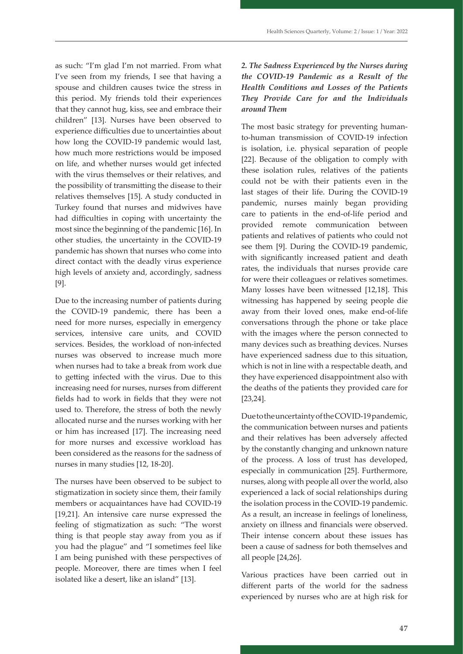as such: "I'm glad I'm not married. From what I've seen from my friends, I see that having a spouse and children causes twice the stress in this period. My friends told their experiences that they cannot hug, kiss, see and embrace their children" [13]. Nurses have been observed to experience difficulties due to uncertainties about how long the COVID-19 pandemic would last, how much more restrictions would be imposed on life, and whether nurses would get infected with the virus themselves or their relatives, and the possibility of transmitting the disease to their relatives themselves [15]. A study conducted in Turkey found that nurses and midwives have had difficulties in coping with uncertainty the most since the beginning of the pandemic [16]. In other studies, the uncertainty in the COVID-19 pandemic has shown that nurses who come into direct contact with the deadly virus experience high levels of anxiety and, accordingly, sadness [9].

Due to the increasing number of patients during the COVID-19 pandemic, there has been a need for more nurses, especially in emergency services, intensive care units, and COVID services. Besides, the workload of non-infected nurses was observed to increase much more when nurses had to take a break from work due to getting infected with the virus. Due to this increasing need for nurses, nurses from different fields had to work in fields that they were not used to. Therefore, the stress of both the newly allocated nurse and the nurses working with her or him has increased [17]. The increasing need for more nurses and excessive workload has been considered as the reasons for the sadness of nurses in many studies [12, 18-20].

The nurses have been observed to be subject to stigmatization in society since them, their family members or acquaintances have had COVID-19 [19,21]. An intensive care nurse expressed the feeling of stigmatization as such: "The worst thing is that people stay away from you as if you had the plague" and "I sometimes feel like I am being punished with these perspectives of people. Moreover, there are times when I feel isolated like a desert, like an island" [13].

## *2. The Sadness Experienced by the Nurses during the COVID-19 Pandemic as a Result of the Health Conditions and Losses of the Patients They Provide Care for and the Individuals around Them*

The most basic strategy for preventing humanto-human transmission of COVID-19 infection is isolation, i.e. physical separation of people [22]. Because of the obligation to comply with these isolation rules, relatives of the patients could not be with their patients even in the last stages of their life. During the COVID-19 pandemic, nurses mainly began providing care to patients in the end-of-life period and provided remote communication between patients and relatives of patients who could not see them [9]. During the COVID-19 pandemic, with significantly increased patient and death rates, the individuals that nurses provide care for were their colleagues or relatives sometimes. Many losses have been witnessed [12,18]. This witnessing has happened by seeing people die away from their loved ones, make end-of-life conversations through the phone or take place with the images where the person connected to many devices such as breathing devices. Nurses have experienced sadness due to this situation, which is not in line with a respectable death, and they have experienced disappointment also with the deaths of the patients they provided care for [23,24].

Due to the uncertainty of the COVID-19 pandemic, the communication between nurses and patients and their relatives has been adversely affected by the constantly changing and unknown nature of the process. A loss of trust has developed, especially in communication [25]. Furthermore, nurses, along with people all over the world, also experienced a lack of social relationships during the isolation process in the COVID-19 pandemic. As a result, an increase in feelings of loneliness, anxiety on illness and financials were observed. Their intense concern about these issues has been a cause of sadness for both themselves and all people [24,26].

Various practices have been carried out in different parts of the world for the sadness experienced by nurses who are at high risk for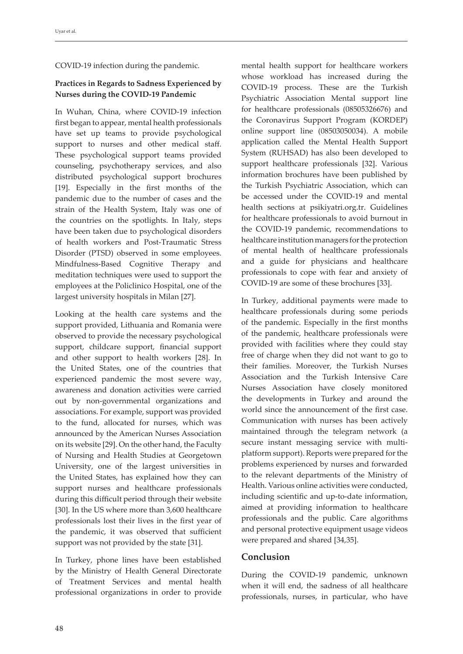COVID-19 infection during the pandemic.

## **Practices in Regards to Sadness Experienced by Nurses during the COVID-19 Pandemic**

In Wuhan, China, where COVID-19 infection first began to appear, mental health professionals have set up teams to provide psychological support to nurses and other medical staff. These psychological support teams provided counseling, psychotherapy services, and also distributed psychological support brochures [19]. Especially in the first months of the pandemic due to the number of cases and the strain of the Health System, Italy was one of the countries on the spotlights. In Italy, steps have been taken due to psychological disorders of health workers and Post-Traumatic Stress Disorder (PTSD) observed in some employees. Mindfulness-Based Cognitive Therapy and meditation techniques were used to support the employees at the Policlinico Hospital, one of the largest university hospitals in Milan [27].

Looking at the health care systems and the support provided, Lithuania and Romania were observed to provide the necessary psychological support, childcare support, financial support and other support to health workers [28]. In the United States, one of the countries that experienced pandemic the most severe way, awareness and donation activities were carried out by non-governmental organizations and associations. For example, support was provided to the fund, allocated for nurses, which was announced by the American Nurses Association on its website [29]. On the other hand, the Faculty of Nursing and Health Studies at Georgetown University, one of the largest universities in the United States, has explained how they can support nurses and healthcare professionals during this difficult period through their website [30]. In the US where more than 3,600 healthcare professionals lost their lives in the first year of the pandemic, it was observed that sufficient support was not provided by the state [31].

In Turkey, phone lines have been established by the Ministry of Health General Directorate of Treatment Services and mental health professional organizations in order to provide mental health support for healthcare workers whose workload has increased during the COVID-19 process. These are the Turkish Psychiatric Association Mental support line for healthcare professionals (08505326676) and the Coronavirus Support Program (KORDEP) online support line (08503050034). A mobile application called the Mental Health Support System (RUHSAD) has also been developed to support healthcare professionals [32]. Various information brochures have been published by the Turkish Psychiatric Association, which can be accessed under the COVID-19 and mental health sections at psikiyatri.org.tr. Guidelines for healthcare professionals to avoid burnout in the COVID-19 pandemic, recommendations to healthcare institution managers for the protection of mental health of healthcare professionals and a guide for physicians and healthcare professionals to cope with fear and anxiety of COVID-19 are some of these brochures [33].

In Turkey, additional payments were made to healthcare professionals during some periods of the pandemic. Especially in the first months of the pandemic, healthcare professionals were provided with facilities where they could stay free of charge when they did not want to go to their families. Moreover, the Turkish Nurses Association and the Turkish Intensive Care Nurses Association have closely monitored the developments in Turkey and around the world since the announcement of the first case. Communication with nurses has been actively maintained through the telegram network (a secure instant messaging service with multiplatform support). Reports were prepared for the problems experienced by nurses and forwarded to the relevant departments of the Ministry of Health. Various online activities were conducted, including scientific and up-to-date information, aimed at providing information to healthcare professionals and the public. Care algorithms and personal protective equipment usage videos were prepared and shared [34,35].

## **Conclusion**

During the COVID-19 pandemic, unknown when it will end, the sadness of all healthcare professionals, nurses, in particular, who have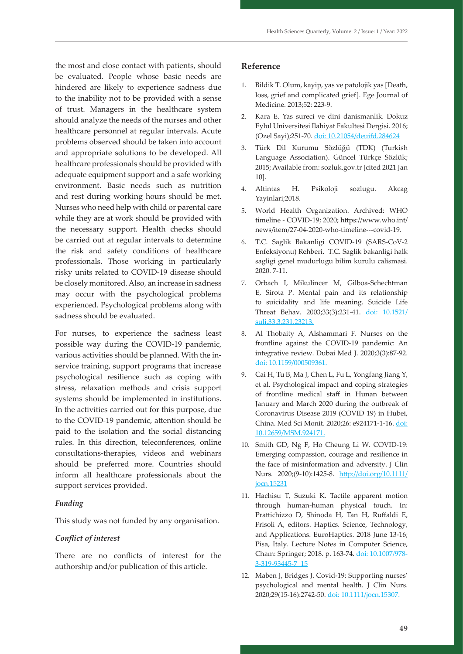the most and close contact with patients, should be evaluated. People whose basic needs are hindered are likely to experience sadness due to the inability not to be provided with a sense of trust. Managers in the healthcare system should analyze the needs of the nurses and other healthcare personnel at regular intervals. Acute problems observed should be taken into account and appropriate solutions to be developed. All healthcare professionals should be provided with adequate equipment support and a safe working environment. Basic needs such as nutrition and rest during working hours should be met. Nurses who need help with child or parental care while they are at work should be provided with the necessary support. Health checks should be carried out at regular intervals to determine the risk and safety conditions of healthcare professionals. Those working in particularly risky units related to COVID-19 disease should be closely monitored. Also, an increase in sadness may occur with the psychological problems experienced. Psychological problems along with sadness should be evaluated.

For nurses, to experience the sadness least possible way during the COVID-19 pandemic, various activities should be planned. With the inservice training, support programs that increase psychological resilience such as coping with stress, relaxation methods and crisis support systems should be implemented in institutions. In the activities carried out for this purpose, due to the COVID-19 pandemic, attention should be paid to the isolation and the social distancing rules. In this direction, teleconferences, online consultations-therapies, videos and webinars should be preferred more. Countries should inform all healthcare professionals about the support services provided.

#### *Funding*

This study was not funded by any organisation.

#### *Conflict of interest*

There are no conflicts of interest for the authorship and/or publication of this article.

#### **Reference**

- 1. Bildik T. Olum, kayip, yas ve patolojik yas [Death, loss, grief and complicated grief]. Ege Journal of Medicine. 2013;52: 223-9.
- 2. Kara E. Yas sureci ve dini danismanlik. Dokuz Eylul Universitesi Ilahiyat Fakultesi Dergisi. 2016; (Ozel Sayi);251-70. [doi: 10.21054/deuifd.](https://doi.org/10.21054/deuifd)284624
- 3. Türk Dil Kurumu Sözlüğü (TDK) (Turkish Language Association). Güncel Türkçe Sözlük; 2015; Available from: sozluk.gov.tr [cited 2021 Jan 10].
- 4. Altintas H. Psikoloji sozlugu. Akcag Yayinlari;2018.
- 5. World Health Organization. Archived: WHO timeline - COVID-19; 2020; [https://www.who.int/](https://www.who.int/news/item/27-04-2020-who-timeline---covid-19) [news/item/27-04-2020-who-timeline---covid-19](https://www.who.int/news/item/27-04-2020-who-timeline---covid-19).
- 6. T.C. Saglik Bakanligi COVID-19 (SARS-CoV-2 Enfeksiyonu) Rehberi. T.C. Saglik bakanligi halk sagligi genel mudurlugu bilim kurulu calismasi. 2020. 7-11.
- 7. Orbach I, Mikulincer M, Gilboa-Schechtman E, Sirota P. Mental pain and its relationship to suicidality and life meaning. Suicide Life Threat Behav. 2003;33(3):231-41. doi: 10.1521/ suli.33.3.231.23213.
- 8. Al Thobaity A, Alshammari F. Nurses on the frontline against the COVID-19 pandemic: An integrative review. Dubai Med J. 2020;3(3):87-92. [doi: 10.1159/000509361.](https://doi.org/10.1159/000509361)
- 9. Cai H, Tu B, Ma J, Chen L, Fu L, Yongfang Jiang Y, et al. Psychological impact and coping strategies of frontline medical staff in Hunan between January and March 2020 during the outbreak of Coronavirus Disease 2019 (COVID 19) in Hubei, China. Med Sci Monit. 2020;26: e924171-1-16. [doi:](https://doi.org/10.12659/MSM.924171) [10.12659/MSM.924171](https://doi.org/10.12659/MSM.924171).
- 10. Smith GD, Ng F, Ho Cheung Li W. COVID-19: Emerging compassion, courage and resilience in the face of misinformation and adversity. J Clin Nurs. 2020;(9-10):1425-8. [http://doi.org/10.1111/](http://doi.org/10.1111/jocn.15231) [jocn.15231](http://doi.org/10.1111/jocn.15231)
- 11. Hachisu T, Suzuki K. Tactile apparent motion through human-human physical touch. In: Prattichizzo D, Shinoda H, Tan H, Ruffaldi E, Frisoli A, editors. Haptics. Science, Technology, and Applications. EuroHaptics. 2018 June 13-16; Pisa, Italy. Lecture Notes in Computer Science, Cham: Springer; 2018. p. 163-74. doi: 10.1007/978- 3-319-93445-7\_15
- 12. Maben J, Bridges J. Covid‐19: Supporting nurses' psychological and mental health. J Clin Nurs. 2020;29(15-16):2742-50. doi: 10.1111/jocn.15307.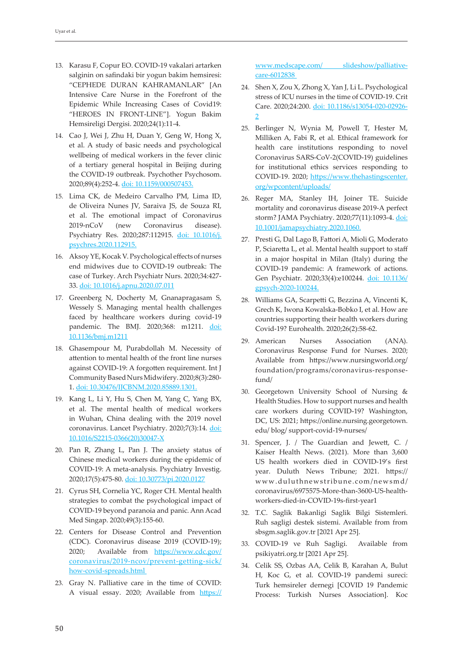- 13. Karasu F, Copur EO. COVID-19 vakalari artarken salginin on safindaki bir yogun bakim hemsiresi: "CEPHEDE DURAN KAHRAMANLAR" [An Intensive Care Nurse in the Forefront of the Epidemic While Increasing Cases of Covid19: "HEROES IN FRONT-LINE"]. Yogun Bakim Hemsireligi Dergisi. 2020;24(1):11-4.
- 14. Cao J, Wei J, Zhu H, Duan Y, Geng W, Hong X, et al. A study of basic needs and psychological wellbeing of medical workers in the fever clinic of a tertiary general hospital in Beijing during the COVID-19 outbreak. Psychother Psychosom. 2020;89(4):252-4. [doi: 10.1159/000507453.](https://doi.org/10.1159/000507453)
- 15. Lima CK, de Medeiro Carvalho PM, Lima ID, de Oliveira Nunes JV, Saraiva JS, de Souza RI, et al. The emotional impact of Coronavirus 2019-nCoV (new Coronavirus disease). Psychiatry Res. 2020;287:112915. doi: 10.1016/j. psychres.2020.112915.
- 16. Aksoy YE, Kocak V. Psychological effects of nurses end midwives due to COVID-19 outbreak: The case of Turkey. Arch Psychiatr Nurs. 2020;34:427- 33. [doi: 10.1016/j.apnu.2020.07.011](https://doi.org/10.1016/j.apnu.2020.07.011)
- 17. Greenberg N, Docherty M, Gnanapragasam S, Wessely S. Managing mental health challenges faced by healthcare workers during covid-19 pandemic. The BMJ. 2020;368: m1211. doi: [10.1136/bmj.m1211](https://doi.org/10.1136/bmj.m1211)
- 18. Ghasempour M, Purabdollah M. Necessity of attention to mental health of the front line nurses against COVID-19: A forgotten requirement. Int J Community Based Nurs Midwifery. 2020;8(3):280- 1. doi: 10.30476/IJCBNM.2020.85889.1301.
- 19. Kang L, Li Y, Hu S, Chen M, Yang C, Yang BX, et al. The mental health of medical workers in Wuhan, China dealing with the 2019 novel coronavirus. Lancet Psychiatry. 2020;7(3):14. [doi:](https://doi.org/10.1016/S2215-0366(20)30047-X)  [10.1016/S2215-0366\(20\)30047-X](https://doi.org/10.1016/S2215-0366(20)30047-X)
- 20. Pan R, Zhang L, Pan J. The anxiety status of Chinese medical workers during the epidemic of COVID-19: A meta-analysis. Psychiatry Investig. 2020;17(5):475-80. [doi: 10.30773/pi.2020.0127](https://doi.org/10.30773/pi.2020.0127)
- 21. Cyrus SH, Cornelia YC, Roger CH. Mental health strategies to combat the psychological impact of COVID-19 beyond paranoia and panic. Ann Acad Med Singap. 2020;49(3):155-60.
- 22. Centers for Disease Control and Prevention (CDC). Coronavirus disease 2019 (COVID-19); 2020; Available from [https://www.cdc.gov/](https://www.cdc.gov/coronavirus/2019-ncov/prevent-getting-sick/how-covid-spreads.html) [coronavirus/2019-ncov/prevent-getting-sick/](https://www.cdc.gov/coronavirus/2019-ncov/prevent-getting-sick/how-covid-spreads.html) [how-covid-spreads.html](https://www.cdc.gov/coronavirus/2019-ncov/prevent-getting-sick/how-covid-spreads.html)
- 23. Gray N. Palliative care in the time of COVID: A visual essay. 2020; Available from https://

www.medscape.com/ slideshow/palliativecare-6012838

- 24. Shen X, Zou X, Zhong X, Yan J, Li L. Psychological stress of ICU nurses in the time of COVID-19. Crit Care. 2020;24:200. [doi: 10.1186/s13054-020-02926-](https://doi.org/10.1186/s13054-020-02926-2) [2](https://doi.org/10.1186/s13054-020-02926-2)
- 25. Berlinger N, Wynia M, Powell T, Hester M, Milliken A, Fabi R, et al. Ethical framework for health care institutions responding to novel Coronavirus SARS-CoV-2(COVID-19) guidelines for institutional ethics services responding to COVID-19. 2020; [https://www.thehastingscenter.](https://www.thehastingscenter.org/wpcontent/uploads/) [org/wpcontent/uploads/](https://www.thehastingscenter.org/wpcontent/uploads/)
- 26. Reger MA, Stanley IH, Joiner TE. Suicide mortality and coronavirus disease 2019-A perfect storm? JAMA Psychiatry. 2020;77(11):1093-4. doi: 10.1001/jamapsychiatry.2020.1060.
- 27. Presti G, Dal Lago B, Fattori A, Mioli G, Moderato P, Sciaretta L, et al. Mental health support to staff in a major hospital in Milan (Italy) during the COVID-19 pandemic: A framework of actions. Gen Psychiatr. 2020;33(4):e100244. [doi: 10.1136/](https://doi.org/10.1136/gpsych-2020-100244) [gpsych-2020-100244.](https://doi.org/10.1136/gpsych-2020-100244)
- 28. Williams GA, Scarpetti G, Bezzina A, Vincenti K, Grech K, Iwona Kowalska-Bobko I, et al. How are countries supporting their health workers during Covid-19? Eurohealth. 2020;26(2):58-62.
- 29. American Nurses Association (ANA). Coronavirus Response Fund for Nurses. 2020; Available from [https://www.nursingworld.org/](https://www.nursingworld.org/ foundation/programs/coronavirus-response-fund/) [foundation/programs/coronavirus-response](https://www.nursingworld.org/ foundation/programs/coronavirus-response-fund/)[fund/](https://www.nursingworld.org/ foundation/programs/coronavirus-response-fund/)
- 30. Georgetown University School of Nursing & Health Studies. How to support nurses and health care workers during COVID-19? Washington, DC, US: 2021; https://online.nursing.georgetown. edu/ blog/ support-covid-19-nurses/
- 31. Spencer, J. / The Guardian and Jewett, C. / Kaiser Health News. (2021). More than 3,600 US health workers died in COVID-19's first year. Duluth News Tribune; 2021. [https://](https://www.duluthnewstribune.com/newsmd/coronavirus/6975575-More-than-3600-US-health-workers-died-in-COVID-19s-first-year1) [www.duluthnewstribune.com/newsmd/](https://www.duluthnewstribune.com/newsmd/coronavirus/6975575-More-than-3600-US-health-workers-died-in-COVID-19s-first-year1) [coronavirus/6975575-More-than-3600-US-health](https://www.duluthnewstribune.com/newsmd/coronavirus/6975575-More-than-3600-US-health-workers-died-in-COVID-19s-first-year1)[workers-died-in-COVID-19s-first-year1](https://www.duluthnewstribune.com/newsmd/coronavirus/6975575-More-than-3600-US-health-workers-died-in-COVID-19s-first-year1)
- 32. T.C. Saglik Bakanligi Saglik Bilgi Sistemleri. Ruh sagligi destek sistemi. Available from from sbsgm.saglik.gov.tr [2021 Apr 25].
- 33. COVID-19 ve Ruh Sagligi. Available from psikiyatri.org.tr [2021 Apr 25].
- 34. Celik SS, Ozbas AA, Celik B, Karahan A, Bulut H, Koc G, et al. COVID-19 pandemi sureci: Turk hemsireler dernegi [COVID 19 Pandemic Process: Turkish Nurses Association]. Koc